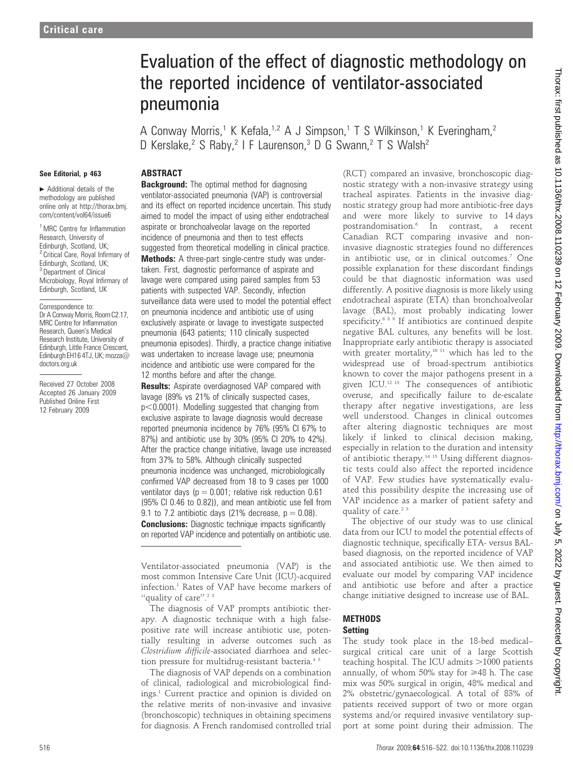# Evaluation of the effect of diagnostic methodology on the reported incidence of ventilator-associated pneumonia

A Conway Morris,<sup>1</sup> K Kefala,<sup>1,2</sup> A J Simpson,<sup>1</sup> T S Wilkinson,<sup>1</sup> K Everingham,<sup>2</sup> D Kerslake,<sup>2</sup> S Raby,<sup>2</sup> | F Laurenson,<sup>3</sup> D G Swann,<sup>2</sup> T S Walsh<sup>2</sup>

#### See Editorial, p 463

 $\blacktriangleright$  Additional details of the methodology are published online only at http://thorax.bmj. com/content/vol64/issue6

<sup>1</sup> MRC Centre for Inflammation Research, University of Edinburgh, Scotland, UK; <sup>2</sup> Critical Care, Royal Infirmary of Edinburgh, Scotland, UK; <sup>3</sup> Department of Clinical Microbiology, Royal Infirmary of Edinburgh, Scotland, UK

Correspondence to: Dr A Conway Morris, RoomC2.17, MRC Centre for Inflammation Research, Queen's Medical Research Institute, University of Edinburgh, Little France Crescent, Edinburgh EH16 4TJ, UK; mozza@ doctors.org.uk

Received 27 October 2008 Accepted 26 January 2009 Published Online First 12 February 2009

# **ABSTRACT**

**Background:** The optimal method for diagnosing ventilator-associated pneumonia (VAP) is controversial and its effect on reported incidence uncertain. This study aimed to model the impact of using either endotracheal aspirate or bronchoalveolar lavage on the reported incidence of pneumonia and then to test effects suggested from theoretical modelling in clinical practice. Methods: A three-part single-centre study was undertaken. First, diagnostic performance of aspirate and lavage were compared using paired samples from 53 patients with suspected VAP. Secondly, infection surveillance data were used to model the potential effect on pneumonia incidence and antibiotic use of using exclusively aspirate or lavage to investigate suspected pneumonia (643 patients; 110 clinically suspected pneumonia episodes). Thirdly, a practice change initiative was undertaken to increase lavage use; pneumonia incidence and antibiotic use were compared for the 12 months before and after the change.

**Results:** Aspirate overdiagnosed VAP compared with lavage (89% vs 21% of clinically suspected cases,  $p<0.0001$ ). Modelling suggested that changing from exclusive aspirate to lavage diagnosis would decrease reported pneumonia incidence by 76% (95% CI 67% to 87%) and antibiotic use by 30% (95% CI 20% to 42%). After the practice change initiative, lavage use increased from 37% to 58%. Although clinically suspected pneumonia incidence was unchanged, microbiologically confirmed VAP decreased from 18 to 9 cases per 1000 ventilator days ( $p = 0.001$ ; relative risk reduction 0.61 (95% CI 0.46 to 0.82)), and mean antibiotic use fell from 9.1 to 7.2 antibiotic days (21% decrease,  $p = 0.08$ ). **Conclusions:** Diagnostic technique impacts significantly on reported VAP incidence and potentially on antibiotic use.

Ventilator-associated pneumonia (VAP) is the most common Intensive Care Unit (ICU)-acquired infection.1 Rates of VAP have become markers of "quality of care".<sup>23</sup>

The diagnosis of VAP prompts antibiotic therapy. A diagnostic technique with a high falsepositive rate will increase antibiotic use, potentially resulting in adverse outcomes such as Clostridium difficile-associated diarrhoea and selection pressure for multidrug-resistant bacteria.<sup>45</sup>

The diagnosis of VAP depends on a combination of clinical, radiological and microbiological findings.1 Current practice and opinion is divided on the relative merits of non-invasive and invasive (bronchoscopic) techniques in obtaining specimens for diagnosis. A French randomised controlled trial

(RCT) compared an invasive, bronchoscopic diagnostic strategy with a non-invasive strategy using tracheal aspirates. Patients in the invasive diagnostic strategy group had more antibiotic-free days and were more likely to survive to 14 days postrandomisation.6 In contrast, a recent Canadian RCT comparing invasive and noninvasive diagnostic strategies found no differences in antibiotic use, or in clinical outcomes.<sup>7</sup> One possible explanation for these discordant findings could be that diagnostic information was used differently. A positive diagnosis is more likely using endotracheal aspirate (ETA) than bronchoalveolar lavage (BAL), most probably indicating lower specificity.<sup>689</sup> If antibiotics are continued despite negative BAL cultures, any benefits will be lost. Inappropriate early antibiotic therapy is associated with greater mortality,<sup>10 11</sup> which has led to the widespread use of broad-spectrum antibiotics known to cover the major pathogens present in a given ICU.12 13 The consequences of antibiotic overuse, and specifically failure to de-escalate therapy after negative investigations, are less well understood. Changes in clinical outcomes after altering diagnostic techniques are most likely if linked to clinical decision making, especially in relation to the duration and intensity of antibiotic therapy.<sup>14 15</sup> Using different diagnostic tests could also affect the reported incidence of VAP. Few studies have systematically evaluated this possibility despite the increasing use of VAP incidence as a marker of patient safety and quality of care.<sup>23</sup>

The objective of our study was to use clinical data from our ICU to model the potential effects of diagnostic technique, specifically ETA- versus BALbased diagnosis, on the reported incidence of VAP and associated antibiotic use. We then aimed to evaluate our model by comparing VAP incidence and antibiotic use before and after a practice change initiative designed to increase use of BAL.

#### **METHODS** Setting

The study took place in the 18-bed medical– surgical critical care unit of a large Scottish teaching hospital. The ICU admits  $>1000$  patients annually, of whom 50% stay for  $\geq 48$  h. The case mix was 50% surgical in origin, 48% medical and 2% obstetric/gynaecological. A total of 83% of patients received support of two or more organ systems and/or required invasive ventilatory support at some point during their admission. The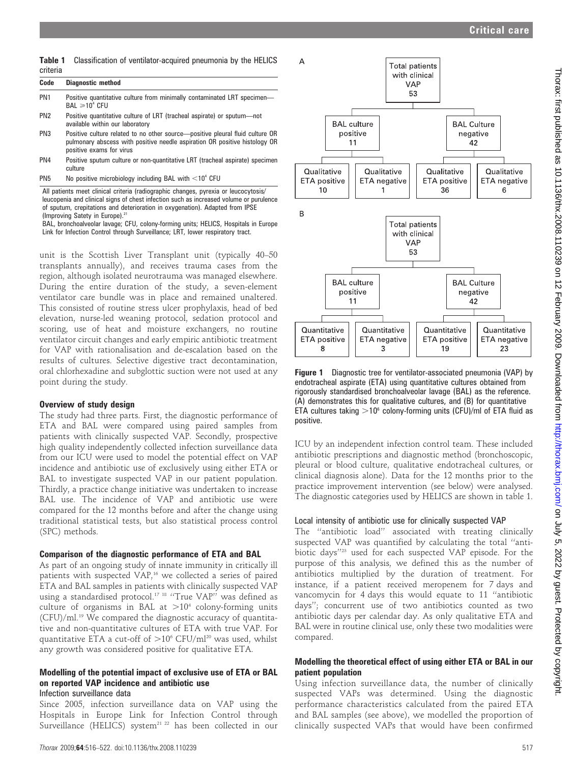Critical care

Table 1 Classification of ventilator-acquired pneumonia by the HELICS criteria

LRT specimen-

| Code             | Diagnostic method                                                               |
|------------------|---------------------------------------------------------------------------------|
| PN <sub>1</sub>  | Positive quantitative culture from minimally contaminated<br>$BAL \ge 10^4$ CFU |
| PN <sub>12</sub> | Positive quantitative culture of LRT (tracheal asnirate) or                     |

- sputum—not available within our laboratory
- PN3 Positive culture related to no other source-positive pleural fluid culture OR pulmonary abscess with positive needle aspiration OR positive histology OR positive exams for virus
- PN4 Positive sputum culture or non-quantitative LRT (tracheal aspirate) specimen culture
- PN5 No positive microbiology including BAL with  $<$ 10<sup>4</sup> CFU

All patients meet clinical criteria (radiographic changes, pyrexia or leucocytosis/ leucopenia and clinical signs of chest infection such as increased volume or purulence of sputum, crepitations and deterioration in oxygenation). Adapted from IPSE (Improving Satety in Europe).<sup>2</sup>

BAL, bronchoalveolar lavage; CFU, colony-forming units; HELICS, Hospitals in Europe Link for Infection Control through Surveillance; LRT, lower respiratory tract.

unit is the Scottish Liver Transplant unit (typically 40–50 transplants annually), and receives trauma cases from the region, although isolated neurotrauma was managed elsewhere. During the entire duration of the study, a seven-element ventilator care bundle was in place and remained unaltered. This consisted of routine stress ulcer prophylaxis, head of bed elevation, nurse-led weaning protocol, sedation protocol and scoring, use of heat and moisture exchangers, no routine ventilator circuit changes and early empiric antibiotic treatment for VAP with rationalisation and de-escalation based on the results of cultures. Selective digestive tract decontamination, oral chlorhexadine and subglottic suction were not used at any point during the study.

#### Overview of study design

The study had three parts. First, the diagnostic performance of ETA and BAL were compared using paired samples from patients with clinically suspected VAP. Secondly, prospective high quality independently collected infection surveillance data from our ICU were used to model the potential effect on VAP incidence and antibiotic use of exclusively using either ETA or BAL to investigate suspected VAP in our patient population. Thirdly, a practice change initiative was undertaken to increase BAL use. The incidence of VAP and antibiotic use were compared for the 12 months before and after the change using traditional statistical tests, but also statistical process control (SPC) methods.

# Comparison of the diagnostic performance of ETA and BAL

As part of an ongoing study of innate immunity in critically ill patients with suspected VAP,<sup>16</sup> we collected a series of paired ETA and BAL samples in patients with clinically suspected VAP using a standardised protocol.<sup>17 18</sup> "True VAP" was defined as culture of organisms in BAL at  $>10^4$  colony-forming units (CFU)/ml.19 We compared the diagnostic accuracy of quantitative and non-quantitative cultures of ETA with true VAP. For quantitative ETA a cut-off of  $>10^6$  CFU/ml<sup>20</sup> was used, whilst any growth was considered positive for qualitative ETA.

# Modelling of the potential impact of exclusive use of ETA or BAL on reported VAP incidence and antibiotic use

Infection surveillance data

Since 2005, infection surveillance data on VAP using the Hospitals in Europe Link for Infection Control through Surveillance (HELICS) system<sup>21 22</sup> has been collected in our



Figure 1 Diagnostic tree for ventilator-associated pneumonia (VAP) by endotracheal aspirate (ETA) using quantitative cultures obtained from rigorously standardised bronchoalveolar lavage (BAL) as the reference. (A) demonstrates this for qualitative cultures, and (B) for quantitative ETA cultures taking  $>10^6$  colony-forming units (CFU)/ml of ETA fluid as positive.

ICU by an independent infection control team. These included antibiotic prescriptions and diagnostic method (bronchoscopic, pleural or blood culture, qualitative endotracheal cultures, or clinical diagnosis alone). Data for the 12 months prior to the practice improvement intervention (see below) were analysed. The diagnostic categories used by HELICS are shown in table 1.

# Local intensity of antibiotic use for clinically suspected VAP

The ''antibiotic load'' associated with treating clinically suspected VAP was quantified by calculating the total ''antibiotic days''23 used for each suspected VAP episode. For the purpose of this analysis, we defined this as the number of antibiotics multiplied by the duration of treatment. For instance, if a patient received meropenem for 7 days and vancomycin for 4 days this would equate to 11 ''antibiotic days''; concurrent use of two antibiotics counted as two antibiotic days per calendar day. As only qualitative ETA and BAL were in routine clinical use, only these two modalities were compared.

# Modelling the theoretical effect of using either ETA or BAL in our patient population

Using infection surveillance data, the number of clinically suspected VAPs was determined. Using the diagnostic performance characteristics calculated from the paired ETA and BAL samples (see above), we modelled the proportion of clinically suspected VAPs that would have been confirmed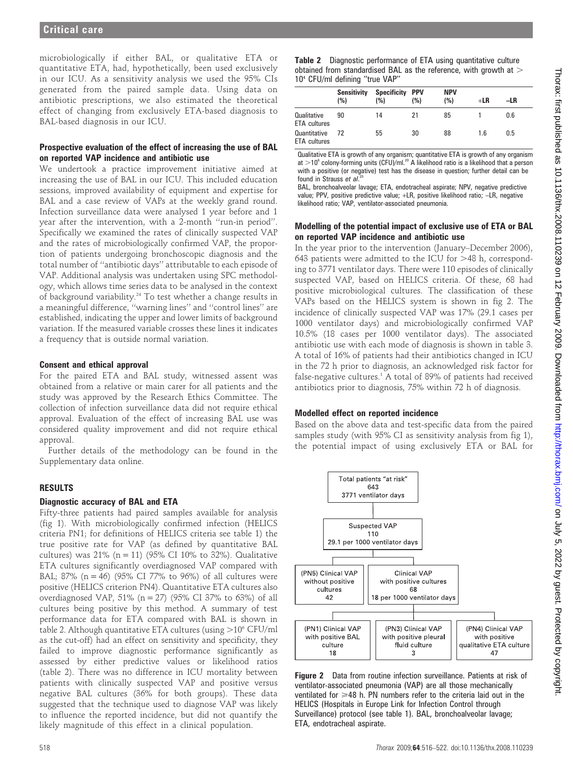microbiologically if either BAL, or qualitative ETA or quantitative ETA, had, hypothetically, been used exclusively in our ICU. As a sensitivity analysis we used the 95% CIs generated from the paired sample data. Using data on antibiotic prescriptions, we also estimated the theoretical effect of changing from exclusively ETA-based diagnosis to BAL-based diagnosis in our ICU.

#### Prospective evaluation of the effect of increasing the use of BAL on reported VAP incidence and antibiotic use

We undertook a practice improvement initiative aimed at increasing the use of BAL in our ICU. This included education sessions, improved availability of equipment and expertise for BAL and a case review of VAPs at the weekly grand round. Infection surveillance data were analysed 1 year before and 1 year after the intervention, with a 2-month ''run-in period''. Specifically we examined the rates of clinically suspected VAP and the rates of microbiologically confirmed VAP, the proportion of patients undergoing bronchoscopic diagnosis and the total number of ''antibiotic days'' attributable to each episode of VAP. Additional analysis was undertaken using SPC methodology, which allows time series data to be analysed in the context of background variability.<sup>24</sup> To test whether a change results in a meaningful difference, ''warning lines'' and ''control lines'' are established, indicating the upper and lower limits of background variation. If the measured variable crosses these lines it indicates a frequency that is outside normal variation.

# Consent and ethical approval

For the paired ETA and BAL study, witnessed assent was obtained from a relative or main carer for all patients and the study was approved by the Research Ethics Committee. The collection of infection surveillance data did not require ethical approval. Evaluation of the effect of increasing BAL use was considered quality improvement and did not require ethical approval.

Further details of the methodology can be found in the Supplementary data online.

# RESULTS

# Diagnostic accuracy of BAL and ETA

Fifty-three patients had paired samples available for analysis (fig 1). With microbiologically confirmed infection (HELICS criteria PN1; for definitions of HELICS criteria see table 1) the true positive rate for VAP (as defined by quantitative BAL cultures) was 21% ( $n = 11$ ) (95% CI 10% to 32%). Qualitative ETA cultures significantly overdiagnosed VAP compared with BAL; 87% ( $n = 46$ ) (95% CI 77% to 96%) of all cultures were positive (HELICS criterion PN4). Quantitative ETA cultures also overdiagnosed VAP, 51% ( $n = 27$ ) (95% CI 37% to 63%) of all cultures being positive by this method. A summary of test performance data for ETA compared with BAL is shown in table 2. Although quantitative ETA cultures (using  $>10^6$  CFU/ml as the cut-off) had an effect on sensitivity and specificity, they failed to improve diagnostic performance significantly as assessed by either predictive values or likelihood ratios (table 2). There was no difference in ICU mortality between patients with clinically suspected VAP and positive versus negative BAL cultures (36% for both groups). These data suggested that the technique used to diagnose VAP was likely to influence the reported incidence, but did not quantify the likely magnitude of this effect in a clinical population.

Table 2 Diagnostic performance of ETA using quantitative culture obtained from standardised BAL as the reference, with growth at  $>$ 104 CFU/ml defining ''true VAP''

|                                     | <b>Sensitivity</b><br>(%) | <b>Specificity PPV</b><br>(%) | (%) | <b>NPV</b><br>(%) | $+LR$ | -LR |
|-------------------------------------|---------------------------|-------------------------------|-----|-------------------|-------|-----|
| Qualitative<br><b>ETA</b> cultures  | 90                        | 14                            | 21  | 85                |       | 0.6 |
| Quantitative<br><b>ETA</b> cultures | 72                        | 55                            | 30  | 88                | 1.6   | 0.5 |

Qualitative ETA is growth of any organism; quantitative ETA is growth of any organism<br>at >10° colony-forming units (CFU)/ml.<sup>20</sup> A likelihood ratio is a likelihood that a person with a positive (or negative) test has the disease in question; further detail can be found in Strauss et al.<sup>25</sup>

BAL, bronchoalveolar lavage; ETA, endotracheal aspirate; NPV, negative predictive value; PPV, positive predictive value; +LR, positive likelihood ratio; –LR, negative likelihood ratio; VAP, ventilator-associated pneumonia.

# Modelling of the potential impact of exclusive use of ETA or BAL on reported VAP incidence and antibiotic use

In the year prior to the intervention (January–December 2006), 643 patients were admitted to the ICU for  $>48$  h, corresponding to 3771 ventilator days. There were 110 episodes of clinically suspected VAP, based on HELICS criteria. Of these, 68 had positive microbiological cultures. The classification of these VAPs based on the HELICS system is shown in fig 2. The incidence of clinically suspected VAP was 17% (29.1 cases per 1000 ventilator days) and microbiologically confirmed VAP 10.5% (18 cases per 1000 ventilator days). The associated antibiotic use with each mode of diagnosis is shown in table 3. A total of 16% of patients had their antibiotics changed in ICU in the 72 h prior to diagnosis, an acknowledged risk factor for false-negative cultures.<sup>1</sup> A total of 89% of patients had received antibiotics prior to diagnosis, 75% within 72 h of diagnosis.

# Modelled effect on reported incidence

Based on the above data and test-specific data from the paired samples study (with 95% CI as sensitivity analysis from fig 1), the potential impact of using exclusively ETA or BAL for



Figure 2 Data from routine infection surveillance. Patients at risk of ventilator-associated pneumonia (VAP) are all those mechanically ventilated for  $\geq 48$  h. PN numbers refer to the criteria laid out in the HELICS (Hospitals in Europe Link for Infection Control through Surveillance) protocol (see table 1). BAL, bronchoalveolar lavage; ETA, endotracheal aspirate.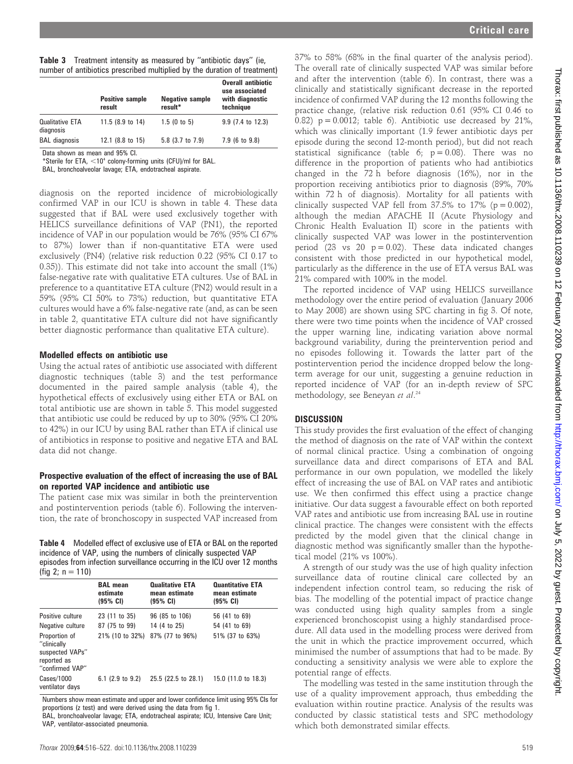Table 3 Treatment intensity as measured by "antibiotic days" (ie, number of antibiotics prescribed multiplied by the duration of treatment)

|                                     | <b>Positive sample</b><br>result | <b>Negative sample</b><br>result* | <b>Overall antibiotic</b><br>use associated<br>with diagnostic<br>technique |
|-------------------------------------|----------------------------------|-----------------------------------|-----------------------------------------------------------------------------|
| <b>Qualitative ETA</b><br>diagnosis | 11.5 (8.9 to 14)                 | 1.5(0 to 5)                       | 9.9 (7.4 to 12.3)                                                           |
| <b>BAL</b> diagnosis                | 12.1 (8.8 to 15)                 | 5.8 (3.7 to 7.9)                  | 7.9 (6 to 9.8)                                                              |

Data shown as mean and 95% CI.

 $*$ Sterile for ETA,  $<$ 10<sup>4</sup> colony-forming units (CFU)/ml for BAL.

BAL, bronchoalveolar lavage; ETA, endotracheal aspirate.

diagnosis on the reported incidence of microbiologically confirmed VAP in our ICU is shown in table 4. These data suggested that if BAL were used exclusively together with HELICS surveillance definitions of VAP (PN1), the reported incidence of VAP in our population would be 76% (95% CI 67% to 87%) lower than if non-quantitative ETA were used exclusively (PN4) (relative risk reduction 0.22 (95% CI 0.17 to 0.35)). This estimate did not take into account the small (1%) false-negative rate with qualitative ETA cultures. Use of BAL in preference to a quantitative ETA culture (PN2) would result in a 59% (95% CI 50% to 73%) reduction, but quantitative ETA cultures would have a 6% false-negative rate (and, as can be seen in table 2, quantitative ETA culture did not have significantly better diagnostic performance than qualitative ETA culture).

#### Modelled effects on antibiotic use

Using the actual rates of antibiotic use associated with different diagnostic techniques (table 3) and the test performance documented in the paired sample analysis (table 4), the hypothetical effects of exclusively using either ETA or BAL on total antibiotic use are shown in table 5. This model suggested that antibiotic use could be reduced by up to 30% (95% CI 20% to 42%) in our ICU by using BAL rather than ETA if clinical use of antibiotics in response to positive and negative ETA and BAL data did not change.

#### Prospective evaluation of the effect of increasing the use of BAL on reported VAP incidence and antibiotic use

The patient case mix was similar in both the preintervention and postintervention periods (table 6). Following the intervention, the rate of bronchoscopy in suspected VAP increased from

Table 4 Modelled effect of exclusive use of ETA or BAL on the reported incidence of VAP, using the numbers of clinically suspected VAP episodes from infection surveillance occurring in the ICU over 12 months (fig 2;  $n = 110$ )

|                                                                                   | <b>BAL</b> mean<br>estimate<br>$(95% \; \text{CI})$ | <b>Qualitative ETA</b><br>mean estimate<br>(95% CI) | <b>Quantitative ETA</b><br>mean estimate<br>$(95% \; \text{CI})$ |
|-----------------------------------------------------------------------------------|-----------------------------------------------------|-----------------------------------------------------|------------------------------------------------------------------|
| Positive culture                                                                  | 23 (11 to 35)                                       | 96 (85 to 106)                                      | 56 (41 to 69)                                                    |
| Negative culture                                                                  | 87 (75 to 99)                                       | 14 (4 to 25)                                        | 54 (41 to 69)                                                    |
| Proportion of<br>"clinically<br>suspected VAPs"<br>reported as<br>"confirmed VAP" | 21% (10 to 32%)                                     | 87% (77 to 96%)                                     | 51% (37 to 63%)                                                  |
| Cases/1000<br>ventilator days                                                     | $6.1(2.9 \text{ to } 9.2)$                          | 25.5 (22.5 to 28.1)                                 | 15.0 (11.0 to 18.3)                                              |

Numbers show mean estimate and upper and lower confidence limit using 95% CIs for proportions (z test) and were derived using the data from fig 1.

BAL, bronchoalveolar lavage; ETA, endotracheal aspirate; ICU, Intensive Care Unit; VAP, ventilator-associated pneumonia.

37% to 58% (68% in the final quarter of the analysis period). The overall rate of clinically suspected VAP was similar before and after the intervention (table 6). In contrast, there was a clinically and statistically significant decrease in the reported incidence of confirmed VAP during the 12 months following the practice change, (relative risk reduction 0.61 (95% CI 0.46 to 0.82)  $p = 0.0012$ ; table 6). Antibiotic use decreased by 21%, which was clinically important (1.9 fewer antibiotic days per episode during the second 12-month period), but did not reach statistical significance (table 6;  $p = 0.08$ ). There was no difference in the proportion of patients who had antibiotics changed in the 72 h before diagnosis (16%), nor in the proportion receiving antibiotics prior to diagnosis (89%, 70% within 72 h of diagnosis). Mortality for all patients with clinically suspected VAP fell from  $37.5\%$  to  $17\%$  (p = 0.002), although the median APACHE II (Acute Physiology and Chronic Health Evaluation II) score in the patients with clinically suspected VAP was lower in the postintervention period (23 vs 20  $p = 0.02$ ). These data indicated changes consistent with those predicted in our hypothetical model, particularly as the difference in the use of ETA versus BAL was 21% compared with 100% in the model.

The reported incidence of VAP using HELICS surveillance methodology over the entire period of evaluation (January 2006 to May 2008) are shown using SPC charting in fig 3. Of note, there were two time points when the incidence of VAP crossed the upper warning line, indicating variation above normal background variability, during the preintervention period and no episodes following it. Towards the latter part of the postintervention period the incidence dropped below the longterm average for our unit, suggesting a genuine reduction in reported incidence of VAP (for an in-depth review of SPC methodology, see Beneyan et al. 24

#### **DISCUSSION**

This study provides the first evaluation of the effect of changing the method of diagnosis on the rate of VAP within the context of normal clinical practice. Using a combination of ongoing surveillance data and direct comparisons of ETA and BAL performance in our own population, we modelled the likely effect of increasing the use of BAL on VAP rates and antibiotic use. We then confirmed this effect using a practice change initiative. Our data suggest a favourable effect on both reported VAP rates and antibiotic use from increasing BAL use in routine clinical practice. The changes were consistent with the effects predicted by the model given that the clinical change in diagnostic method was significantly smaller than the hypothetical model (21% vs 100%).

A strength of our study was the use of high quality infection surveillance data of routine clinical care collected by an independent infection control team, so reducing the risk of bias. The modelling of the potential impact of practice change was conducted using high quality samples from a single experienced bronchoscopist using a highly standardised procedure. All data used in the modelling process were derived from the unit in which the practice improvement occurred, which minimised the number of assumptions that had to be made. By conducting a sensitivity analysis we were able to explore the potential range of effects.

The modelling was tested in the same institution through the use of a quality improvement approach, thus embedding the evaluation within routine practice. Analysis of the results was conducted by classic statistical tests and SPC methodology which both demonstrated similar effects.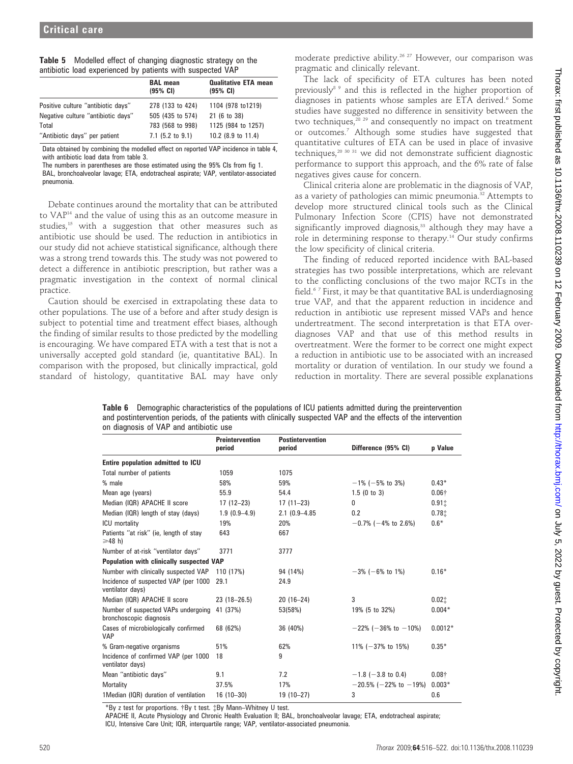|  |  | <b>Table 5</b> Modelled effect of changing diagnostic strategy on the |  |  |
|--|--|-----------------------------------------------------------------------|--|--|
|  |  | antibiotic load experienced by patients with suspected VAP            |  |  |

|                                    | <b>BAL</b> mean<br>$(95% \; \text{Cl})$ | <b>Qualitative ETA mean</b><br>$(95\% \text{ CI})$ |  |  |
|------------------------------------|-----------------------------------------|----------------------------------------------------|--|--|
| Positive culture "antibiotic days" | 278 (133 to 424)                        | 1104 (978 to 1219)                                 |  |  |
| Negative culture "antibiotic days" | 505 (435 to 574)                        | 21 (6 to 38)                                       |  |  |
| Total                              | 783 (568 to 998)                        | 1125 (984 to 1257)                                 |  |  |
| "Antibiotic days" per patient      | $7.1$ (5.2 to 9.1)                      | 10.2 (8.9 to 11.4)                                 |  |  |

Data obtained by combining the modelled effect on reported VAP incidence in table 4, with antibiotic load data from table 3.

The numbers in parentheses are those estimated using the 95% CIs from fig 1.

BAL, bronchoalveolar lavage; ETA, endotracheal aspirate; VAP, ventilator-associated pneumonia.

Debate continues around the mortality that can be attributed to VAP14 and the value of using this as an outcome measure in studies,<sup>15</sup> with a suggestion that other measures such as antibiotic use should be used. The reduction in antibiotics in our study did not achieve statistical significance, although there was a strong trend towards this. The study was not powered to detect a difference in antibiotic prescription, but rather was a pragmatic investigation in the context of normal clinical practice.

Caution should be exercised in extrapolating these data to other populations. The use of a before and after study design is subject to potential time and treatment effect biases, although the finding of similar results to those predicted by the modelling is encouraging. We have compared ETA with a test that is not a universally accepted gold standard (ie, quantitative BAL). In comparison with the proposed, but clinically impractical, gold standard of histology, quantitative BAL may have only

moderate predictive ability.26 27 However, our comparison was pragmatic and clinically relevant.

The lack of specificity of ETA cultures has been noted previously<sup>8 9</sup> and this is reflected in the higher proportion of diagnoses in patients whose samples are ETA derived.<sup>6</sup> Some studies have suggested no difference in sensitivity between the two techniques,<sup>28</sup> <sup>29</sup> and consequently no impact on treatment or outcomes.7 Although some studies have suggested that quantitative cultures of ETA can be used in place of invasive techniques,<sup>20 30 31</sup> we did not demonstrate sufficient diagnostic performance to support this approach, and the 6% rate of false negatives gives cause for concern.

Clinical criteria alone are problematic in the diagnosis of VAP, as a variety of pathologies can mimic pneumonia.<sup>32</sup> Attempts to develop more structured clinical tools such as the Clinical Pulmonary Infection Score (CPIS) have not demonstrated significantly improved diagnosis,<sup>33</sup> although they may have a role in determining response to therapy.<sup>14</sup> Our study confirms the low specificity of clinical criteria.

The finding of reduced reported incidence with BAL-based strategies has two possible interpretations, which are relevant to the conflicting conclusions of the two major RCTs in the field.6 7 First, it may be that quantitative BAL is underdiagnosing true VAP, and that the apparent reduction in incidence and reduction in antibiotic use represent missed VAPs and hence undertreatment. The second interpretation is that ETA overdiagnoses VAP and that use of this method results in overtreatment. Were the former to be correct one might expect a reduction in antibiotic use to be associated with an increased mortality or duration of ventilation. In our study we found a reduction in mortality. There are several possible explanations

Table 6 Demographic characteristics of the populations of ICU patients admitted during the preintervention and postintervention periods, of the patients with clinically suspected VAP and the effects of the intervention on diagnosis of VAP and antibiotic use

|                                                                | <b>Postintervention</b><br><b>Preintervention</b> |                   |                                  |               |
|----------------------------------------------------------------|---------------------------------------------------|-------------------|----------------------------------|---------------|
|                                                                | period                                            | period            | Difference (95% CI)              | p Value       |
| Entire population admitted to ICU                              |                                                   |                   |                                  |               |
| Total number of patients                                       | 1059                                              | 1075              |                                  |               |
| $%$ male                                                       | 58%                                               | 59%               | $-1\%$ (-5% to 3%)               | $0.43*$       |
| Mean age (years)                                               | 55.9                                              | 54.4              | 1.5(0 to 3)                      | $0.06\dagger$ |
| Median (IQR) APACHE II score                                   | $17(12-23)$                                       | $17(11 - 23)$     | 0                                | 0.911         |
| Median (IQR) length of stay (days)                             | $1.9(0.9-4.9)$                                    | $2.1(0.9 - 4.85)$ | 0.2                              | 0.781         |
| <b>ICU</b> mortality                                           | 19%                                               | 20%               | $-0.7\%$ ( $-4\%$ to 2.6%)       | $0.6*$        |
| Patients "at risk" (ie, length of stay<br>$\geq 48$ h)         | 643                                               | 667               |                                  |               |
| Number of at-risk "ventilator days"                            | 3771                                              | 3777              |                                  |               |
| Population with clinically suspected VAP                       |                                                   |                   |                                  |               |
| Number with clinically suspected VAP                           | 110 (17%)                                         | 94 (14%)          | $-3\%$ ( $-6\%$ to 1%)           | $0.16*$       |
| Incidence of suspected VAP (per 1000)<br>ventilator days)      | 29.1                                              | 24.9              |                                  |               |
| Median (IQR) APACHE II score                                   | $23(18 - 26.5)$                                   | $20(16-24)$       | 3                                | 0.021         |
| Number of suspected VAPs undergoing<br>bronchoscopic diagnosis | 41 (37%)                                          | 53(58%)           | 19% (5 to 32%)                   | $0.004*$      |
| Cases of microbiologically confirmed<br><b>VAP</b>             | 68 (62%)                                          | 36 (40%)          | $-22\%$ ( $-36\%$ to $-10\%$ )   | $0.0012*$     |
| % Gram-negative organisms                                      | 51%                                               | 62%               | 11% $(-37%$ to 15%)              | $0.35*$       |
| Incidence of confirmed VAP (per 1000<br>ventilator days)       | 18                                                | 9                 |                                  |               |
| Mean "antibiotic days"                                         | 9.1                                               | 7.2               | $-1.8$ (-3.8 to 0.4)             | $0.08\dagger$ |
| Mortality                                                      | 37.5%                                             | 17%               | $-20.5\%$ ( $-22\%$ to $-19\%$ ) | $0.003*$      |
| 1 Median (IQR) duration of ventilation                         | $16(10-30)$                                       | $19(10-27)$       | 3                                | 0.6           |

\*By z test for proportions. {By t test. {By Mann–Whitney U test.

APACHE II, Acute Physiology and Chronic Health Evaluation II; BAL, bronchoalveolar lavage; ETA, endotracheal aspirate; ICU, Intensive Care Unit; IQR, interquartile range; VAP, ventilator-associated pneumonia.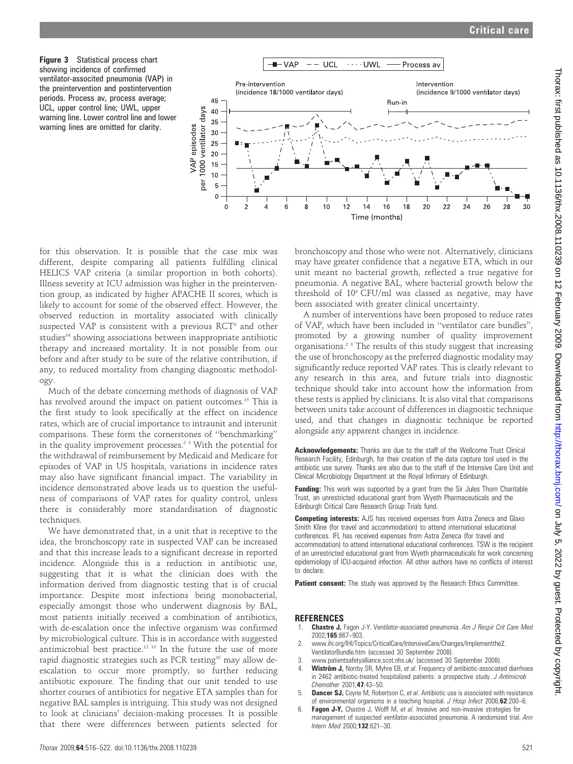Figure 3 Statistical process chart showing incidence of confirmed ventilator-associted pneumonia (VAP) in the preintervention and postintervention periods. Process av, process average; UCL, upper control line; UWL, upper warning line. Lower control line and lower warning lines are omitted for clarity.



for this observation. It is possible that the case mix was different, despite comparing all patients fulfilling clinical HELICS VAP criteria (a similar proportion in both cohorts). Illness severity at ICU admission was higher in the preintervention group, as indicated by higher APACHE II scores, which is likely to account for some of the observed effect. However, the observed reduction in mortality associated with clinically suspected VAP is consistent with a previous  $RCT^6$  and other studies<sup>34</sup> showing associations between inappropriate antibiotic therapy and increased mortality. It is not possible from our before and after study to be sure of the relative contribution, if any, to reduced mortality from changing diagnostic methodology.

Much of the debate concerning methods of diagnosis of VAP has revolved around the impact on patient outcomes.<sup>15</sup> This is the first study to look specifically at the effect on incidence rates, which are of crucial importance to intraunit and interunit comparisons. These form the cornerstones of ''benchmarking'' in the quality improvement processes.<sup>2 3</sup> With the potential for the withdrawal of reimbursement by Medicaid and Medicare for episodes of VAP in US hospitals, variations in incidence rates may also have significant financial impact. The variability in incidence demonstrated above leads us to question the usefulness of comparisons of VAP rates for quality control, unless there is considerably more standardisation of diagnostic techniques.

We have demonstrated that, in a unit that is receptive to the idea, the bronchoscopy rate in suspected VAP can be increased and that this increase leads to a significant decrease in reported incidence. Alongside this is a reduction in antibiotic use, suggesting that it is what the clinician does with the information derived from diagnostic testing that is of crucial importance. Despite most infections being monobacterial, especially amongst those who underwent diagnosis by BAL, most patients initially received a combination of antibiotics, with de-escalation once the infective organism was confirmed by microbiological culture. This is in accordance with suggested antimicrobial best practice.12 13 In the future the use of more rapid diagnostic strategies such as PCR testing<sup>35</sup> may allow deescalation to occur more promptly, so further reducing antibiotic exposure. The finding that our unit tended to use shorter courses of antibiotics for negative ETA samples than for negative BAL samples is intriguing. This study was not designed to look at clinicians' decision-making processes. It is possible that there were differences between patients selected for

bronchoscopy and those who were not. Alternatively, clinicians may have greater confidence that a negative ETA, which in our unit meant no bacterial growth, reflected a true negative for pneumonia. A negative BAL, where bacterial growth below the threshold of 104 CFU/ml was classed as negative, may have been associated with greater clinical uncertainty.

A number of interventions have been proposed to reduce rates of VAP, which have been included in ''ventilator care bundles'', promoted by a growing number of quality improvement organisations.2 3 The results of this study suggest that increasing the use of bronchoscopy as the preferred diagnostic modality may significantly reduce reported VAP rates. This is clearly relevant to any research in this area, and future trials into diagnostic technique should take into account how the information from these tests is applied by clinicians. It is also vital that comparisons between units take account of differences in diagnostic technique used, and that changes in diagnostic technique be reported alongside any apparent changes in incidence.

Acknowledgements: Thanks are due to the staff of the Wellcome Trust Clinical Research Facility, Edinburgh, for their creation of the data capture tool used in the antibiotic use survey. Thanks are also due to the staff of the Intensive Care Unit and Clinical Microbiology Department at the Royal Infirmary of Edinburgh.

**Funding:** This work was supported by a grant from the Sir Jules Thorn Charitable Trust, an unrestricted educational grant from Wyeth Pharmaceuticals and the Edinburgh Critical Care Research Group Trials fund.

Competing interests: AJS has received expenses from Astra Zeneca and Glaxo Smith Kline (for travel and accommodation) to attend international educational conferences. IFL has received expenses from Astra Zeneca (for travel and accommodation) to attend international educational conferences. TSW is the recipient of an unrestricted educational grant from Wyeth pharmaceuticals for work concerning epidemiology of ICU-acquired infection. All other authors have no conflicts of interest to declare.

Patient consent: The study was approved by the Research Ethics Committee.

#### **REFERENCES**

- Chastre J, Fagon J-Y. Ventilator-associated pneumonia. Am J Respir Crit Care Med 2002;165:867–903.
- 2. www.ihi.org/IHI/Topics/CriticalCare/IntensiveCare/Changes/Implementthe2. VentilatorBundle.htm (accessed 30 September 2008).
- 3. www.patientsafetyalliance.scot.nhs.uk/ (accessed 30 September 2008).
- Wiström J, Norrby SR, Myhre EB, et al. Frequency of antibiotic-associated diarrhoea in 2462 antibiotic-treated hospitalized patients: a prospective study. J Antimicrob Chemother 2001;47:43–50.
- 5. **Dancer SJ,** Coyne M, Robertson C, et al. Antibiotic use is associated with resistance of environmental organisms in a teaching hospital. J Hosp Infect 2006;62:200-6.
- 6. Fagon J-Y, Chastre J, Wolff M, et al. Invasive and non-invasive strategies for management of suspected ventilator-associated pneumonia. A randomized trial. Ann Intern Med 2000;132:621–30.